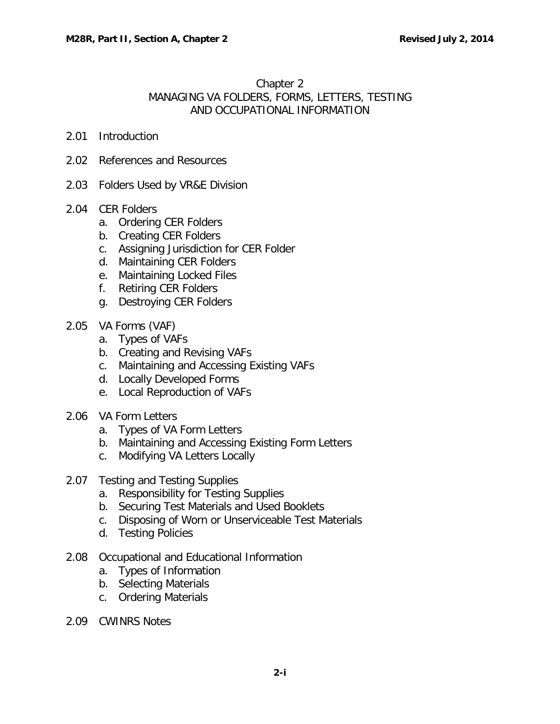# Chapter 2 MANAGING VA FOLDERS, FORMS, LETTERS, TESTING AND OCCUPATIONAL INFORMATION

- 2.01 [Introduction](#page-2-0)
- 2.02 [References and Resources](#page-2-1)
- 2.03 [Folders Used by VR&E Division](#page-2-2)

### 2.04 [CER Folders](#page-3-0)

- a. [Ordering CER Folders](#page-3-1)
- b. [Creating CER Folders](#page-4-0)
- c. [Assigning Jurisdiction for CER Folder](#page-7-0)
- d. [Maintaining CER Folders](#page-7-1)
- e. [Maintaining Locked Files](#page-8-0)
- f. [Retiring CER Folders](#page-8-1)
- g. [Destroying CER Folders](#page-9-0)
- 2.05 [VA Forms \(VAF\)](#page-9-1)
	- a. [Types of VAFs](#page-9-2)
	- b. [Creating and Revising VAFs](#page-9-3)
	- c. [Maintaining and Accessing Existing VAFs](#page-10-0)
	- d. [Locally Developed Forms](#page-10-1)
	- e. [Local Reproduction of VAFs](#page-10-2)
- 2.06 [VA Form Letters](#page-10-3)
	- a. [Types of VA Form Letters](#page-10-4)
	- b. [Maintaining and Accessing Existing Form Letters](#page-10-5)
	- c. [Modifying VA Letters Locally](#page-10-6)
- 2.07 [Testing and Testing Supplies](#page-11-0)
	- a. [Responsibility for Testing Supplies](#page-11-1)
	- b. [Securing Test Materials and Used Booklets](#page-11-2)
	- c. [Disposing of Worn or Unserviceable Test Materials](#page-11-3)
	- d. [Testing Policies](#page-11-4)
- 2.08 [Occupational and Educational Information](#page-13-0)
	- a. [Types of Information](#page-13-1)
	- b. [Selecting Materials](#page-13-2)
	- c. [Ordering Materials](#page-14-0)
- 2.09 [CWINRS Notes](#page-14-1)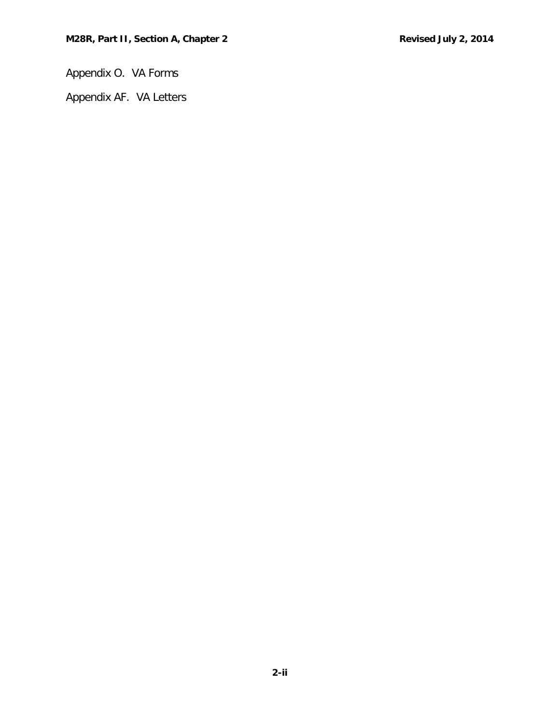Appendix O. VA Forms

Appendix AF. VA Letters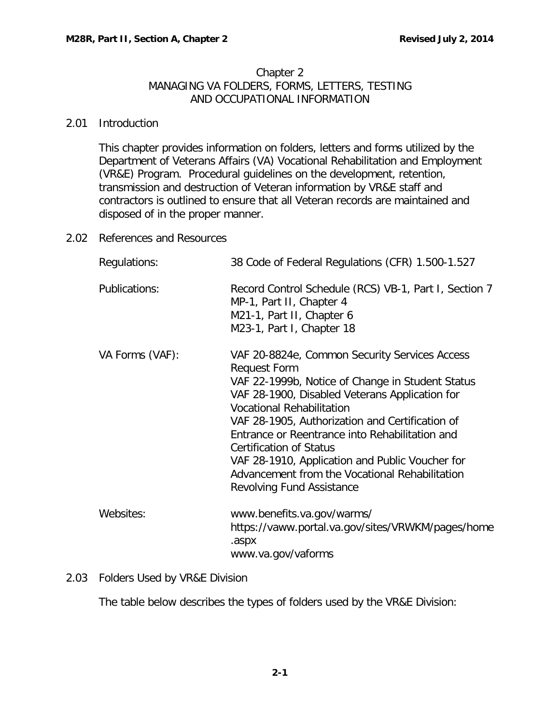### Chapter 2 MANAGING VA FOLDERS, FORMS, LETTERS, TESTING AND OCCUPATIONAL INFORMATION

### <span id="page-2-0"></span>2.01 Introduction

This chapter provides information on folders, letters and forms utilized by the Department of Veterans Affairs (VA) Vocational Rehabilitation and Employment (VR&E) Program. Procedural guidelines on the development, retention, transmission and destruction of Veteran information by VR&E staff and contractors is outlined to ensure that all Veteran records are maintained and disposed of in the proper manner.

<span id="page-2-1"></span>2.02 References and Resources

| Regulations:    | 38 Code of Federal Regulations (CFR) 1.500-1.527                                                                                                                                                                                                                                                                                                                                                                                                                                               |  |  |
|-----------------|------------------------------------------------------------------------------------------------------------------------------------------------------------------------------------------------------------------------------------------------------------------------------------------------------------------------------------------------------------------------------------------------------------------------------------------------------------------------------------------------|--|--|
| Publications:   | Record Control Schedule (RCS) VB-1, Part I, Section 7<br>MP-1, Part II, Chapter 4<br>M21-1, Part II, Chapter 6<br>M23-1, Part I, Chapter 18                                                                                                                                                                                                                                                                                                                                                    |  |  |
| VA Forms (VAF): | VAF 20-8824e, Common Security Services Access<br><b>Request Form</b><br>VAF 22-1999b, Notice of Change in Student Status<br>VAF 28-1900, Disabled Veterans Application for<br><b>Vocational Rehabilitation</b><br>VAF 28-1905, Authorization and Certification of<br>Entrance or Reentrance into Rehabilitation and<br><b>Certification of Status</b><br>VAF 28-1910, Application and Public Voucher for<br>Advancement from the Vocational Rehabilitation<br><b>Revolving Fund Assistance</b> |  |  |
| Websites:       | www.benefits.va.gov/warms/<br>https://vaww.portal.va.gov/sites/VRWKM/pages/home<br>.aspx<br>www.va.gov/vaforms                                                                                                                                                                                                                                                                                                                                                                                 |  |  |

# <span id="page-2-2"></span>2.03 Folders Used by VR&E Division

The table below describes the types of folders used by the VR&E Division: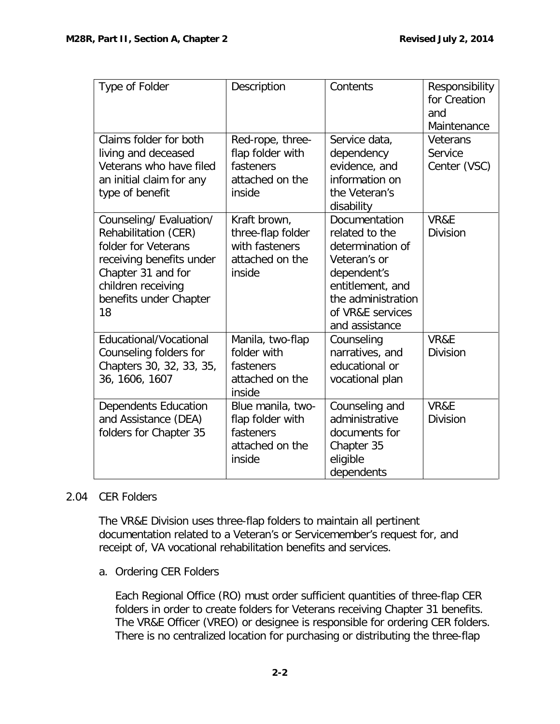| Type of Folder                                                                                                                                                                 | Description                                                                      | Contents                                                                                                                                                           | Responsibility<br>for Creation<br>and<br>Maintenance |
|--------------------------------------------------------------------------------------------------------------------------------------------------------------------------------|----------------------------------------------------------------------------------|--------------------------------------------------------------------------------------------------------------------------------------------------------------------|------------------------------------------------------|
| Claims folder for both<br>living and deceased<br>Veterans who have filed<br>an initial claim for any<br>type of benefit                                                        | Red-rope, three-<br>flap folder with<br>fasteners<br>attached on the<br>inside   | Service data,<br>dependency<br>evidence, and<br>information on<br>the Veteran's<br>disability                                                                      | Veterans<br>Service<br>Center (VSC)                  |
| Counseling/ Evaluation/<br>Rehabilitation (CER)<br>folder for Veterans<br>receiving benefits under<br>Chapter 31 and for<br>children receiving<br>benefits under Chapter<br>18 | Kraft brown,<br>three-flap folder<br>with fasteners<br>attached on the<br>inside | Documentation<br>related to the<br>determination of<br>Veteran's or<br>dependent's<br>entitlement, and<br>the administration<br>of VR&E services<br>and assistance | VR&E<br><b>Division</b>                              |
| Educational/Vocational<br>Counseling folders for<br>Chapters 30, 32, 33, 35,<br>36, 1606, 1607                                                                                 | Manila, two-flap<br>folder with<br>fasteners<br>attached on the<br>inside        | Counseling<br>narratives, and<br>educational or<br>vocational plan                                                                                                 | VR&E<br><b>Division</b>                              |
| <b>Dependents Education</b><br>and Assistance (DEA)<br>folders for Chapter 35                                                                                                  | Blue manila, two-<br>flap folder with<br>fasteners<br>attached on the<br>inside  | Counseling and<br>administrative<br>documents for<br>Chapter 35<br>eligible<br>dependents                                                                          | VR&E<br><b>Division</b>                              |

# <span id="page-3-0"></span>2.04 CER Folders

The VR&E Division uses three-flap folders to maintain all pertinent documentation related to a Veteran's or Servicemember's request for, and receipt of, VA vocational rehabilitation benefits and services.

<span id="page-3-1"></span>a. Ordering CER Folders

Each Regional Office (RO) must order sufficient quantities of three-flap CER folders in order to create folders for Veterans receiving Chapter 31 benefits. The VR&E Officer (VREO) or designee is responsible for ordering CER folders. There is no centralized location for purchasing or distributing the three-flap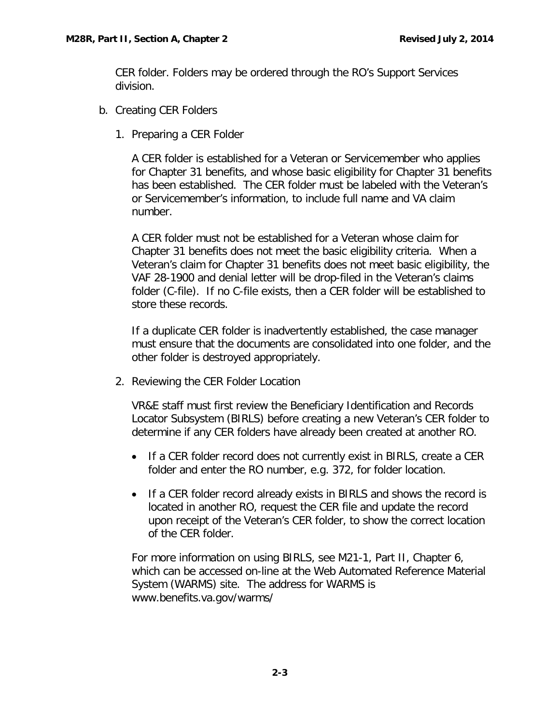CER folder. Folders may be ordered through the RO's Support Services division.

- <span id="page-4-0"></span>b. Creating CER Folders
	- 1. Preparing a CER Folder

A CER folder is established for a Veteran or Servicemember who applies for Chapter 31 benefits, and whose basic eligibility for Chapter 31 benefits has been established. The CER folder must be labeled with the Veteran's or Servicemember's information, to include full name and VA claim number.

A CER folder must not be established for a Veteran whose claim for Chapter 31 benefits does not meet the basic eligibility criteria. When a Veteran's claim for Chapter 31 benefits does not meet basic eligibility, the VAF 28-1900 and denial letter will be drop-filed in the Veteran's claims folder (C-file). If no C-file exists, then a CER folder will be established to store these records.

If a duplicate CER folder is inadvertently established, the case manager must ensure that the documents are consolidated into one folder, and the other folder is destroyed appropriately.

2. Reviewing the CER Folder Location

VR&E staff must first review the Beneficiary Identification and Records Locator Subsystem (BIRLS) before creating a new Veteran's CER folder to determine if any CER folders have already been created at another RO.

- If a CER folder record does not currently exist in BIRLS, create a CER folder and enter the RO number, e.g. 372, for folder location.
- If a CER folder record already exists in BIRLS and shows the record is located in another RO, request the CER file and update the record upon receipt of the Veteran's CER folder, to show the correct location of the CER folder.

For more information on using BIRLS, see M21-1, Part II, Chapter 6, which can be accessed on-line at the Web Automated Reference Material System (WARMS) site. The address for WARMS is www.benefits.va.gov/warms/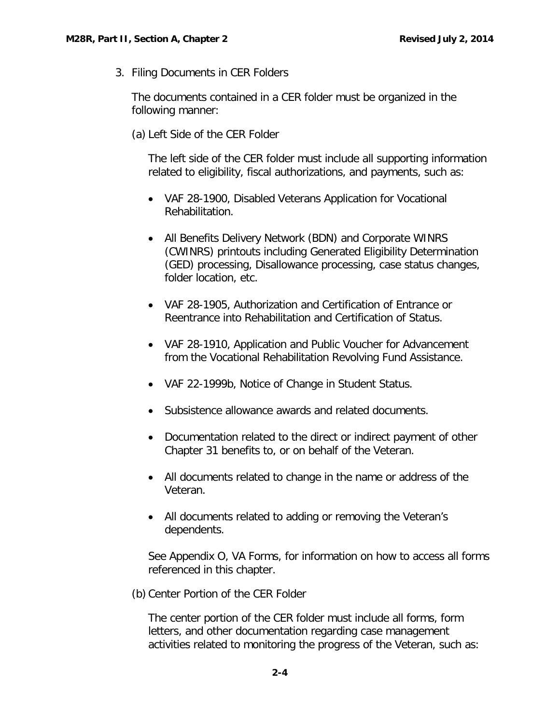3. Filing Documents in CER Folders

The documents contained in a CER folder must be organized in the following manner:

(a) Left Side of the CER Folder

The left side of the CER folder must include all supporting information related to eligibility, fiscal authorizations, and payments, such as:

- VAF 28-1900, Disabled Veterans Application for Vocational Rehabilitation.
- All Benefits Delivery Network (BDN) and Corporate WINRS (CWINRS) printouts including Generated Eligibility Determination (GED) processing, Disallowance processing, case status changes, folder location, etc.
- VAF 28-1905, Authorization and Certification of Entrance or Reentrance into Rehabilitation and Certification of Status.
- VAF 28-1910, Application and Public Voucher for Advancement from the Vocational Rehabilitation Revolving Fund Assistance.
- VAF 22-1999b, Notice of Change in Student Status.
- Subsistence allowance awards and related documents.
- Documentation related to the direct or indirect payment of other Chapter 31 benefits to, or on behalf of the Veteran.
- All documents related to change in the name or address of the Veteran.
- All documents related to adding or removing the Veteran's dependents.

See Appendix O, VA Forms, for information on how to access all forms referenced in this chapter.

(b) Center Portion of the CER Folder

The center portion of the CER folder must include all forms, form letters, and other documentation regarding case management activities related to monitoring the progress of the Veteran, such as: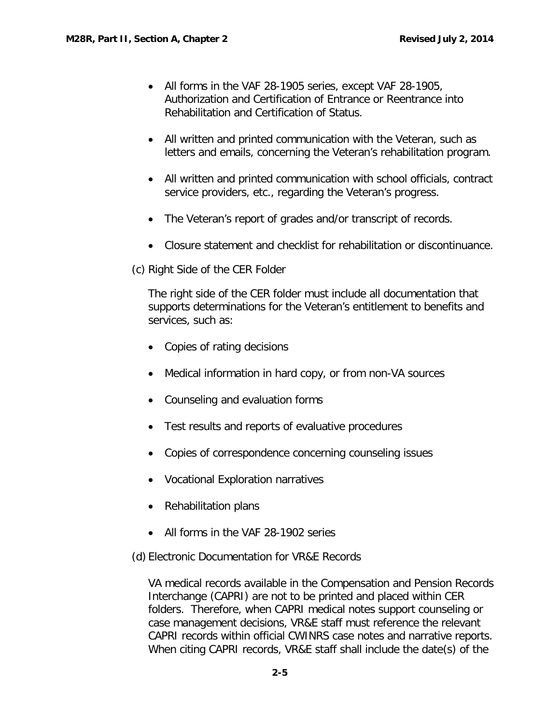- All forms in the VAF 28-1905 series, except VAF 28-1905, Authorization and Certification of Entrance or Reentrance into Rehabilitation and Certification of Status.
- All written and printed communication with the Veteran, such as letters and emails, concerning the Veteran's rehabilitation program.
- All written and printed communication with school officials, contract service providers, etc., regarding the Veteran's progress.
- The Veteran's report of grades and/or transcript of records.
- Closure statement and checklist for rehabilitation or discontinuance.
- (c) Right Side of the CER Folder

The right side of the CER folder must include all documentation that supports determinations for the Veteran's entitlement to benefits and services, such as:

- Copies of rating decisions
- Medical information in hard copy, or from non-VA sources
- Counseling and evaluation forms
- Test results and reports of evaluative procedures
- Copies of correspondence concerning counseling issues
- Vocational Exploration narratives
- Rehabilitation plans
- All forms in the VAF 28-1902 series
- (d) Electronic Documentation for VR&E Records

VA medical records available in the Compensation and Pension Records Interchange (CAPRI) are not to be printed and placed within CER folders. Therefore, when CAPRI medical notes support counseling or case management decisions, VR&E staff must reference the relevant CAPRI records within official CWINRS case notes and narrative reports. When citing CAPRI records, VR&E staff shall include the date(s) of the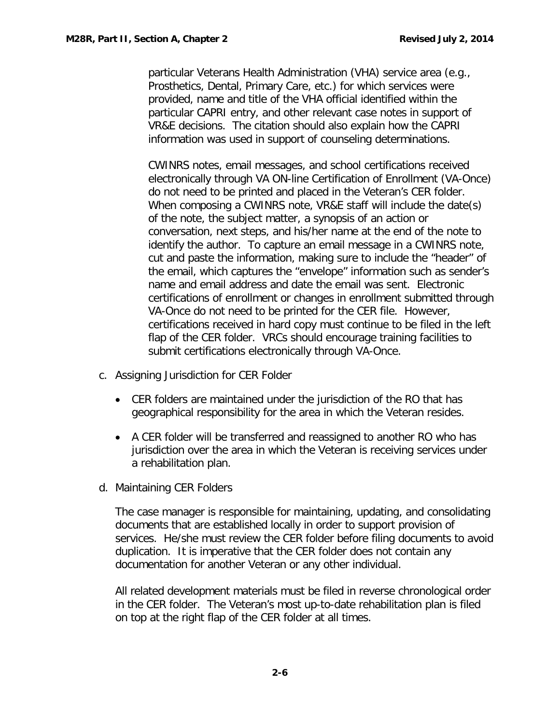particular Veterans Health Administration (VHA) service area (e.g., Prosthetics, Dental, Primary Care, etc.) for which services were provided, name and title of the VHA official identified within the particular CAPRI entry, and other relevant case notes in support of VR&E decisions. The citation should also explain how the CAPRI information was used in support of counseling determinations.

CWINRS notes, email messages, and school certifications received electronically through VA ON-line Certification of Enrollment (VA-Once) do not need to be printed and placed in the Veteran's CER folder. When composing a CWINRS note, VR&E staff will include the date(s) of the note, the subject matter, a synopsis of an action or conversation, next steps, and his/her name at the end of the note to identify the author. To capture an email message in a CWINRS note, cut and paste the information, making sure to include the "header" of the email, which captures the "envelope" information such as sender's name and email address and date the email was sent. Electronic certifications of enrollment or changes in enrollment submitted through VA-Once do not need to be printed for the CER file. However, certifications received in hard copy must continue to be filed in the left flap of the CER folder. VRCs should encourage training facilities to submit certifications electronically through VA-Once.

- <span id="page-7-0"></span>c. Assigning Jurisdiction for CER Folder
	- CER folders are maintained under the jurisdiction of the RO that has geographical responsibility for the area in which the Veteran resides.
	- A CER folder will be transferred and reassigned to another RO who has jurisdiction over the area in which the Veteran is receiving services under a rehabilitation plan.
- <span id="page-7-1"></span>d. Maintaining CER Folders

The case manager is responsible for maintaining, updating, and consolidating documents that are established locally in order to support provision of services. He/she must review the CER folder before filing documents to avoid duplication. It is imperative that the CER folder does not contain any documentation for another Veteran or any other individual.

All related development materials must be filed in reverse chronological order in the CER folder. The Veteran's most up-to-date rehabilitation plan is filed on top at the right flap of the CER folder at all times.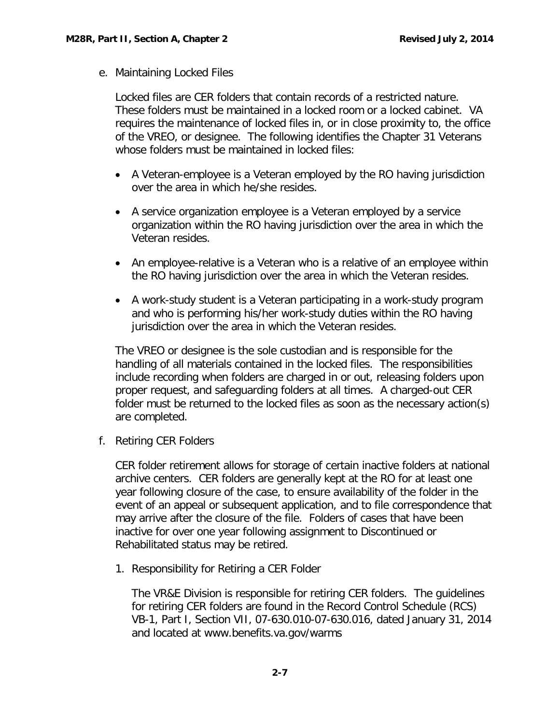<span id="page-8-0"></span>e. Maintaining Locked Files

Locked files are CER folders that contain records of a restricted nature. These folders must be maintained in a locked room or a locked cabinet. VA requires the maintenance of locked files in, or in close proximity to, the office of the VREO, or designee. The following identifies the Chapter 31 Veterans whose folders must be maintained in locked files:

- A Veteran-employee is a Veteran employed by the RO having jurisdiction over the area in which he/she resides.
- A service organization employee is a Veteran employed by a service organization within the RO having jurisdiction over the area in which the Veteran resides.
- An employee-relative is a Veteran who is a relative of an employee within the RO having jurisdiction over the area in which the Veteran resides.
- A work-study student is a Veteran participating in a work-study program and who is performing his/her work-study duties within the RO having jurisdiction over the area in which the Veteran resides.

The VREO or designee is the sole custodian and is responsible for the handling of all materials contained in the locked files. The responsibilities include recording when folders are charged in or out, releasing folders upon proper request, and safeguarding folders at all times. A charged-out CER folder must be returned to the locked files as soon as the necessary action(s) are completed.

<span id="page-8-1"></span>f. Retiring CER Folders

CER folder retirement allows for storage of certain inactive folders at national archive centers. CER folders are generally kept at the RO for at least one year following closure of the case, to ensure availability of the folder in the event of an appeal or subsequent application, and to file correspondence that may arrive after the closure of the file. Folders of cases that have been inactive for over one year following assignment to Discontinued or Rehabilitated status may be retired.

1. Responsibility for Retiring a CER Folder

The VR&E Division is responsible for retiring CER folders. The guidelines for retiring CER folders are found in the Record Control Schedule (RCS) VB-1, Part I, Section VII, 07-630.010-07-630.016, dated January 31, 2014 and located at www.benefits.va.gov/warms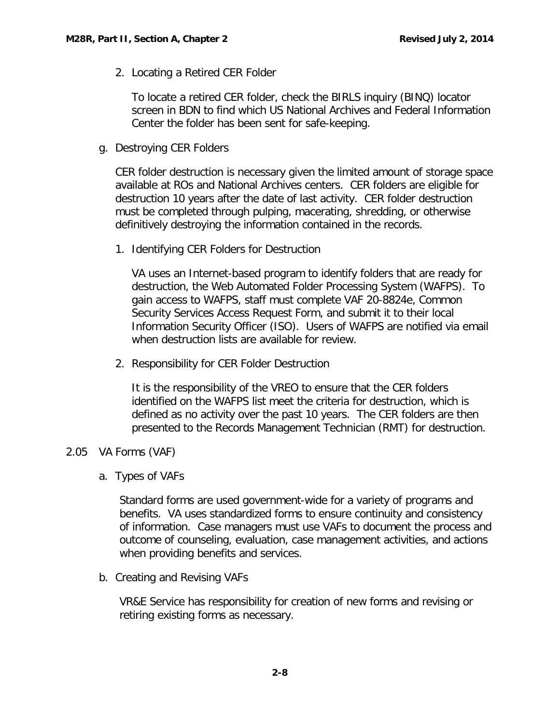2. Locating a Retired CER Folder

To locate a retired CER folder, check the BIRLS inquiry (BINQ) locator screen in BDN to find which US National Archives and Federal Information Center the folder has been sent for safe-keeping.

<span id="page-9-0"></span>g. Destroying CER Folders

CER folder destruction is necessary given the limited amount of storage space available at ROs and National Archives centers. CER folders are eligible for destruction 10 years after the date of last activity. CER folder destruction must be completed through pulping, macerating, shredding, or otherwise definitively destroying the information contained in the records.

1. Identifying CER Folders for Destruction

VA uses an Internet-based program to identify folders that are ready for destruction, the Web Automated Folder Processing System (WAFPS). To gain access to WAFPS, staff must complete VAF 20-8824e, Common Security Services Access Request Form, and submit it to their local Information Security Officer (ISO). Users of WAFPS are notified via email when destruction lists are available for review.

2. Responsibility for CER Folder Destruction

It is the responsibility of the VREO to ensure that the CER folders identified on the WAFPS list meet the criteria for destruction, which is defined as no activity over the past 10 years. The CER folders are then presented to the Records Management Technician (RMT) for destruction.

# <span id="page-9-2"></span><span id="page-9-1"></span>2.05 VA Forms (VAF)

a. Types of VAFs

Standard forms are used government-wide for a variety of programs and benefits. VA uses standardized forms to ensure continuity and consistency of information. Case managers must use VAFs to document the process and outcome of counseling, evaluation, case management activities, and actions when providing benefits and services.

<span id="page-9-3"></span>b. Creating and Revising VAFs

VR&E Service has responsibility for creation of new forms and revising or retiring existing forms as necessary.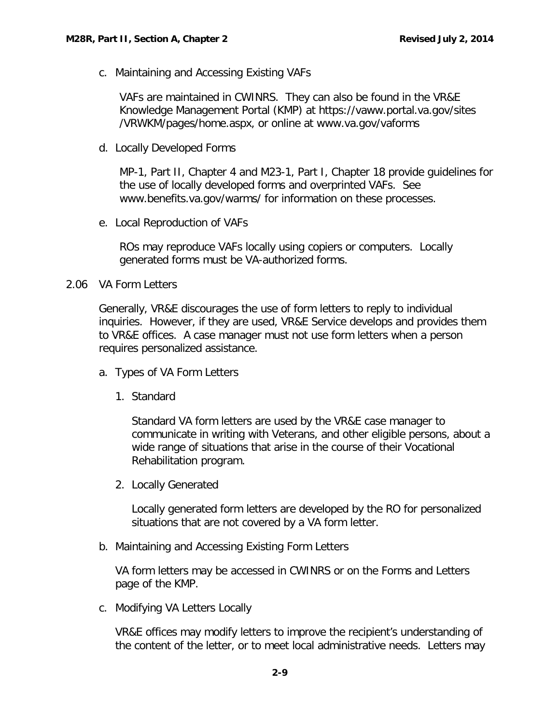<span id="page-10-0"></span>c. Maintaining and Accessing Existing VAFs

VAFs are maintained in CWINRS. They can also be found in the VR&E Knowledge Management Portal (KMP) at https://vaww.portal.va.gov/sites /VRWKM/pages/home.aspx, or online at www.va.gov/vaforms

<span id="page-10-1"></span>d. Locally Developed Forms

MP-1, Part II, Chapter 4 and M23-1, Part I, Chapter 18 provide guidelines for the use of locally developed forms and overprinted VAFs. See www.benefits.va.gov/warms/ for information on these processes.

<span id="page-10-2"></span>e. Local Reproduction of VAFs

ROs may reproduce VAFs locally using copiers or computers. Locally generated forms must be VA-authorized forms.

<span id="page-10-3"></span>2.06 VA Form Letters

Generally, VR&E discourages the use of form letters to reply to individual inquiries. However, if they are used, VR&E Service develops and provides them to VR&E offices. A case manager must not use form letters when a person requires personalized assistance.

- <span id="page-10-4"></span>a. Types of VA Form Letters
	- 1. Standard

Standard VA form letters are used by the VR&E case manager to communicate in writing with Veterans, and other eligible persons, about a wide range of situations that arise in the course of their Vocational Rehabilitation program.

2. Locally Generated

Locally generated form letters are developed by the RO for personalized situations that are not covered by a VA form letter.

<span id="page-10-5"></span>b. Maintaining and Accessing Existing Form Letters

VA form letters may be accessed in CWINRS or on the Forms and Letters page of the KMP.

<span id="page-10-6"></span>c. Modifying VA Letters Locally

VR&E offices may modify letters to improve the recipient's understanding of the content of the letter, or to meet local administrative needs. Letters may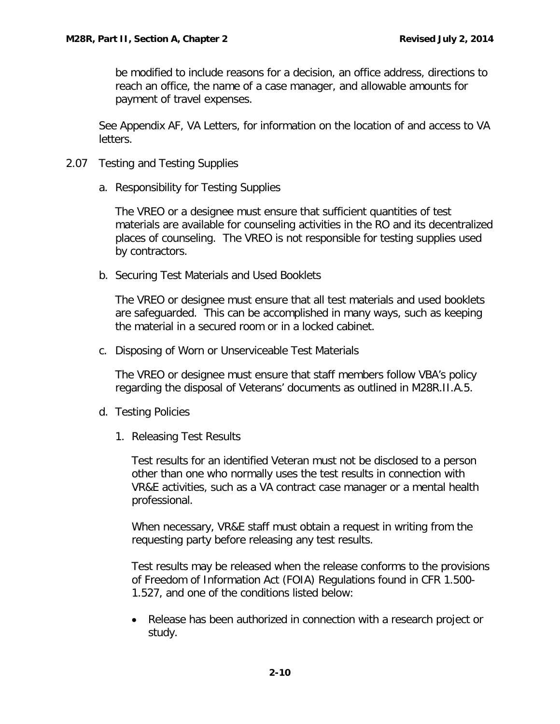be modified to include reasons for a decision, an office address, directions to reach an office, the name of a case manager, and allowable amounts for payment of travel expenses.

See Appendix AF, VA Letters, for information on the location of and access to VA letters.

- <span id="page-11-1"></span><span id="page-11-0"></span>2.07 Testing and Testing Supplies
	- a. Responsibility for Testing Supplies

The VREO or a designee must ensure that sufficient quantities of test materials are available for counseling activities in the RO and its decentralized places of counseling. The VREO is not responsible for testing supplies used by contractors.

<span id="page-11-2"></span>b. Securing Test Materials and Used Booklets

The VREO or designee must ensure that all test materials and used booklets are safeguarded. This can be accomplished in many ways, such as keeping the material in a secured room or in a locked cabinet.

<span id="page-11-3"></span>c. Disposing of Worn or Unserviceable Test Materials

The VREO or designee must ensure that staff members follow VBA's policy regarding the disposal of Veterans' documents as outlined in M28R.II.A.5.

- <span id="page-11-4"></span>d. Testing Policies
	- 1. Releasing Test Results

Test results for an identified Veteran must not be disclosed to a person other than one who normally uses the test results in connection with VR&E activities, such as a VA contract case manager or a mental health professional.

When necessary, VR&E staff must obtain a request in writing from the requesting party before releasing any test results.

Test results may be released when the release conforms to the provisions of Freedom of Information Act (FOIA) Regulations found in CFR 1.500- 1.527, and one of the conditions listed below:

• Release has been authorized in connection with a research project or study.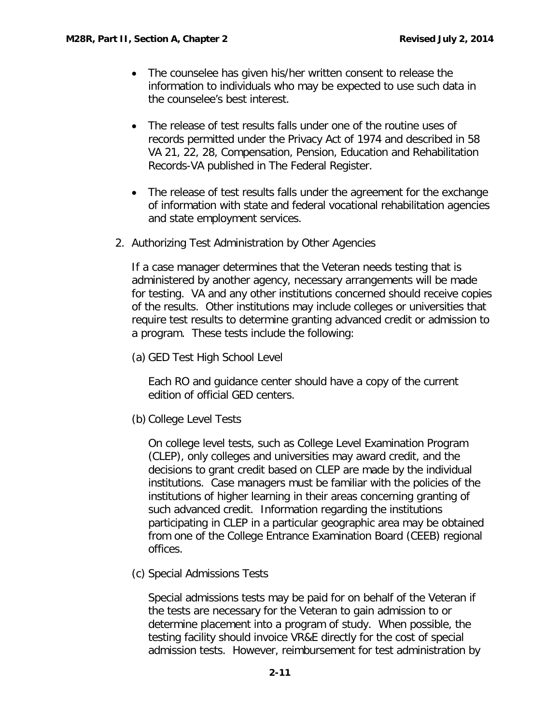- The counselee has given his/her written consent to release the information to individuals who may be expected to use such data in the counselee's best interest.
- The release of test results falls under one of the routine uses of records permitted under the Privacy Act of 1974 and described in 58 VA 21, 22, 28, Compensation, Pension, Education and Rehabilitation Records-VA published in The Federal Register.
- The release of test results falls under the agreement for the exchange of information with state and federal vocational rehabilitation agencies and state employment services.
- 2. Authorizing Test Administration by Other Agencies

If a case manager determines that the Veteran needs testing that is administered by another agency, necessary arrangements will be made for testing. VA and any other institutions concerned should receive copies of the results. Other institutions may include colleges or universities that require test results to determine granting advanced credit or admission to a program. These tests include the following:

(a) GED Test High School Level

Each RO and guidance center should have a copy of the current edition of official GED centers.

(b) College Level Tests

On college level tests, such as College Level Examination Program (CLEP), only colleges and universities may award credit, and the decisions to grant credit based on CLEP are made by the individual institutions. Case managers must be familiar with the policies of the institutions of higher learning in their areas concerning granting of such advanced credit. Information regarding the institutions participating in CLEP in a particular geographic area may be obtained from one of the College Entrance Examination Board (CEEB) regional offices.

(c) Special Admissions Tests

Special admissions tests may be paid for on behalf of the Veteran if the tests are necessary for the Veteran to gain admission to or determine placement into a program of study. When possible, the testing facility should invoice VR&E directly for the cost of special admission tests. However, reimbursement for test administration by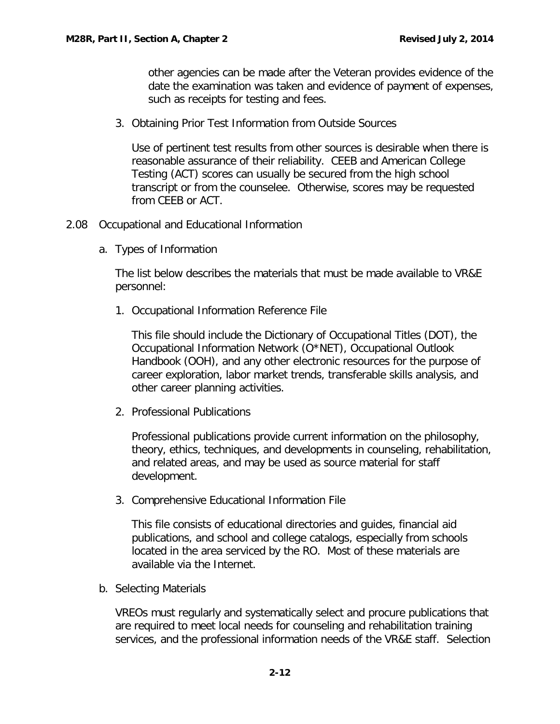other agencies can be made after the Veteran provides evidence of the date the examination was taken and evidence of payment of expenses, such as receipts for testing and fees.

3. Obtaining Prior Test Information from Outside Sources

Use of pertinent test results from other sources is desirable when there is reasonable assurance of their reliability. CEEB and American College Testing (ACT) scores can usually be secured from the high school transcript or from the counselee. Otherwise, scores may be requested from CEEB or ACT.

- <span id="page-13-1"></span><span id="page-13-0"></span>2.08 Occupational and Educational Information
	- a. Types of Information

The list below describes the materials that must be made available to VR&E personnel:

1. Occupational Information Reference File

This file should include the Dictionary of Occupational Titles (DOT), the Occupational Information Network (O\*NET), Occupational Outlook Handbook (OOH), and any other electronic resources for the purpose of career exploration, labor market trends, transferable skills analysis, and other career planning activities.

2. Professional Publications

Professional publications provide current information on the philosophy, theory, ethics, techniques, and developments in counseling, rehabilitation, and related areas, and may be used as source material for staff development.

3. Comprehensive Educational Information File

This file consists of educational directories and guides, financial aid publications, and school and college catalogs, especially from schools located in the area serviced by the RO. Most of these materials are available via the Internet.

<span id="page-13-2"></span>b. Selecting Materials

VREOs must regularly and systematically select and procure publications that are required to meet local needs for counseling and rehabilitation training services, and the professional information needs of the VR&E staff. Selection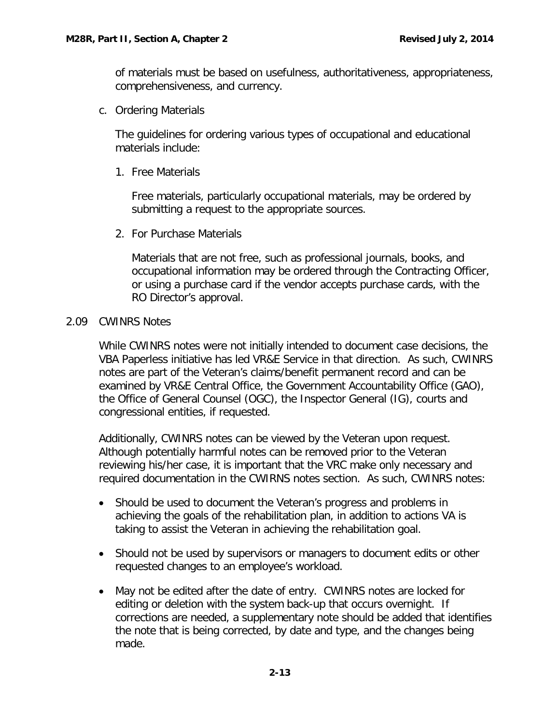of materials must be based on usefulness, authoritativeness, appropriateness, comprehensiveness, and currency.

<span id="page-14-0"></span>c. Ordering Materials

The guidelines for ordering various types of occupational and educational materials include:

1. Free Materials

Free materials, particularly occupational materials, may be ordered by submitting a request to the appropriate sources.

2. For Purchase Materials

Materials that are not free, such as professional journals, books, and occupational information may be ordered through the Contracting Officer, or using a purchase card if the vendor accepts purchase cards, with the RO Director's approval.

### <span id="page-14-1"></span>2.09 CWINRS Notes

While CWINRS notes were not initially intended to document case decisions, the VBA Paperless initiative has led VR&E Service in that direction. As such, CWINRS notes are part of the Veteran's claims/benefit permanent record and can be examined by VR&E Central Office, the Government Accountability Office (GAO), the Office of General Counsel (OGC), the Inspector General (IG), courts and congressional entities, if requested.

Additionally, CWINRS notes can be viewed by the Veteran upon request. Although potentially harmful notes can be removed prior to the Veteran reviewing his/her case, it is important that the VRC make only necessary and required documentation in the CWIRNS notes section. As such, CWINRS notes:

- Should be used to document the Veteran's progress and problems in achieving the goals of the rehabilitation plan, in addition to actions VA is taking to assist the Veteran in achieving the rehabilitation goal.
- Should not be used by supervisors or managers to document edits or other requested changes to an employee's workload.
- May not be edited after the date of entry. CWINRS notes are locked for editing or deletion with the system back-up that occurs overnight. If corrections are needed, a supplementary note should be added that identifies the note that is being corrected, by date and type, and the changes being made.